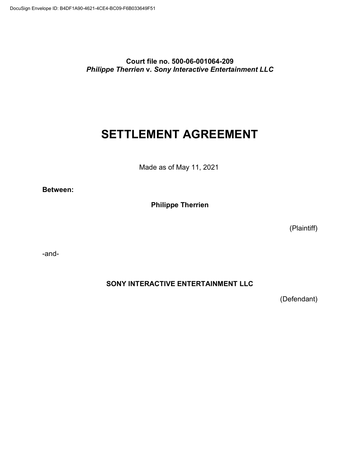**Court file no. 500-06-001064-209** *Philippe Therrien* **v***. Sony Interactive Entertainment LLC*

# **SETTLEMENT AGREEMENT**

Made as of May 11, 2021

**Between:**

**Philippe Therrien**

(Plaintiff)

-and-

**SONY INTERACTIVE ENTERTAINMENT LLC**

(Defendant)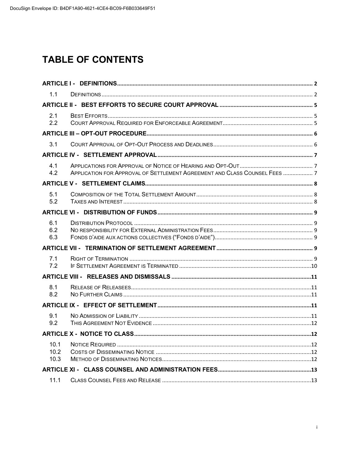# **TABLE OF CONTENTS**

| 1.1               |                                                                            |  |  |
|-------------------|----------------------------------------------------------------------------|--|--|
|                   |                                                                            |  |  |
| 2.1<br>2.2        |                                                                            |  |  |
|                   |                                                                            |  |  |
| 3.1               |                                                                            |  |  |
|                   |                                                                            |  |  |
| 4.1<br>4.2        | APPLICATION FOR APPROVAL OF SETTLEMENT AGREEMENT AND CLASS COUNSEL FEES  7 |  |  |
|                   |                                                                            |  |  |
| 5.1<br>5.2        |                                                                            |  |  |
|                   |                                                                            |  |  |
| 6.1<br>6.2<br>6.3 |                                                                            |  |  |
|                   |                                                                            |  |  |
| 7.1<br>7.2        |                                                                            |  |  |
|                   |                                                                            |  |  |
| 8.1<br>8.2        |                                                                            |  |  |
|                   |                                                                            |  |  |
| 9.1<br>9.2        |                                                                            |  |  |
|                   |                                                                            |  |  |
| 10.2<br>10.3      |                                                                            |  |  |
|                   |                                                                            |  |  |
| 11.1              |                                                                            |  |  |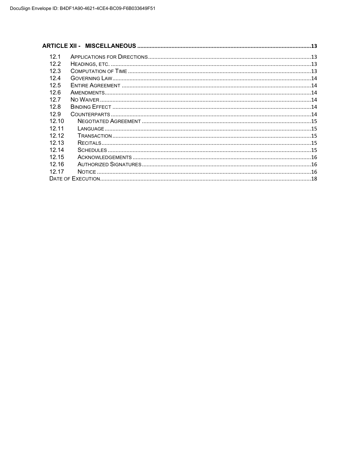| 12.1  |  |
|-------|--|
| 12.2  |  |
| 12.3  |  |
| 124   |  |
| 12.5  |  |
| 12.6  |  |
| 127   |  |
| 12.8  |  |
| 12.9  |  |
| 12.10 |  |
| 12 11 |  |
| 12.12 |  |
| 1213  |  |
| 12 14 |  |
| 12 15 |  |
| 1216  |  |
| 12 17 |  |
|       |  |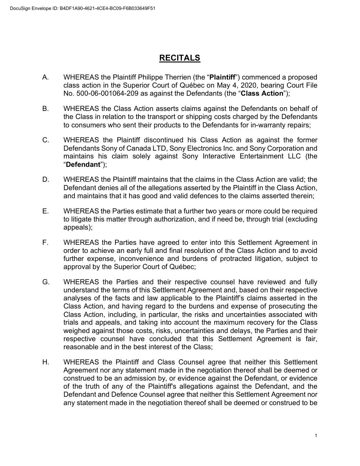# **RECITALS**

- A. WHEREAS the Plaintiff Philippe Therrien (the "**Plaintiff**") commenced a proposed class action in the Superior Court of Québec on May 4, 2020, bearing Court File No. 500-06-001064-209 as against the Defendants (the "**Class Action**");
- B. WHEREAS the Class Action asserts claims against the Defendants on behalf of the Class in relation to the transport or shipping costs charged by the Defendants to consumers who sent their products to the Defendants for in-warranty repairs;
- C. WHEREAS the Plaintiff discontinued his Class Action as against the former Defendants Sony of Canada LTD, Sony Electronics Inc. and Sony Corporation and maintains his claim solely against Sony Interactive Entertainment LLC (the "**Defendant**");
- D. WHEREAS the Plaintiff maintains that the claims in the Class Action are valid; the Defendant denies all of the allegations asserted by the Plaintiff in the Class Action, and maintains that it has good and valid defences to the claims asserted therein;
- E. WHEREAS the Parties estimate that a further two years or more could be required to litigate this matter through authorization, and if need be, through trial (excluding appeals);
- F. WHEREAS the Parties have agreed to enter into this Settlement Agreement in order to achieve an early full and final resolution of the Class Action and to avoid further expense, inconvenience and burdens of protracted litigation, subject to approval by the Superior Court of Québec;
- G. WHEREAS the Parties and their respective counsel have reviewed and fully understand the terms of this Settlement Agreement and, based on their respective analyses of the facts and law applicable to the Plaintiff's claims asserted in the Class Action, and having regard to the burdens and expense of prosecuting the Class Action, including, in particular, the risks and uncertainties associated with trials and appeals, and taking into account the maximum recovery for the Class weighed against those costs, risks, uncertainties and delays, the Parties and their respective counsel have concluded that this Settlement Agreement is fair, reasonable and in the best interest of the Class;
- H. WHEREAS the Plaintiff and Class Counsel agree that neither this Settlement Agreement nor any statement made in the negotiation thereof shall be deemed or construed to be an admission by, or evidence against the Defendant, or evidence of the truth of any of the Plaintiff's allegations against the Defendant, and the Defendant and Defence Counsel agree that neither this Settlement Agreement nor any statement made in the negotiation thereof shall be deemed or construed to be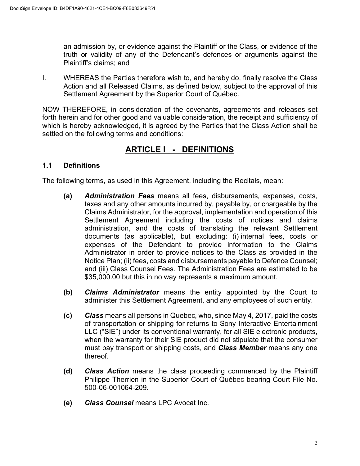an admission by, or evidence against the Plaintiff or the Class, or evidence of the truth or validity of any of the Defendant's defences or arguments against the Plaintiff's claims; and

I. WHEREAS the Parties therefore wish to, and hereby do, finally resolve the Class Action and all Released Claims, as defined below, subject to the approval of this Settlement Agreement by the Superior Court of Québec.

NOW THEREFORE, in consideration of the covenants, agreements and releases set forth herein and for other good and valuable consideration, the receipt and sufficiency of which is hereby acknowledged, it is agreed by the Parties that the Class Action shall be settled on the following terms and conditions:

# **ARTICLE I - DEFINITIONS**

### **1.1 Definitions**

The following terms, as used in this Agreement, including the Recitals, mean:

- **(a)** *Administration Fees* means all fees, disbursements, expenses, costs, taxes and any other amounts incurred by, payable by, or chargeable by the Claims Administrator, for the approval, implementation and operation of this Settlement Agreement including the costs of notices and claims administration, and the costs of translating the relevant Settlement documents (as applicable), but excluding: (i) internal fees, costs or expenses of the Defendant to provide information to the Claims Administrator in order to provide notices to the Class as provided in the Notice Plan; (ii) fees, costs and disbursements payable to Defence Counsel; and (iii) Class Counsel Fees. The Administration Fees are estimated to be \$35,000.00 but this in no way represents a maximum amount.
- **(b)** *Claims Administrator* means the entity appointed by the Court to administer this Settlement Agreement, and any employees of such entity.
- **(c)** *Class* means all persons in Quebec, who, since May 4, 2017, paid the costs of transportation or shipping for returns to Sony Interactive Entertainment LLC ("SIE") under its conventional warranty, for all SIE electronic products, when the warranty for their SIE product did not stipulate that the consumer must pay transport or shipping costs, and *Class Member* means any one thereof.
- **(d)** *Class Action* means the class proceeding commenced by the Plaintiff Philippe Therrien in the Superior Court of Québec bearing Court File No. 500-06-001064-209.
- **(e)** *Class Counsel* means LPC Avocat Inc.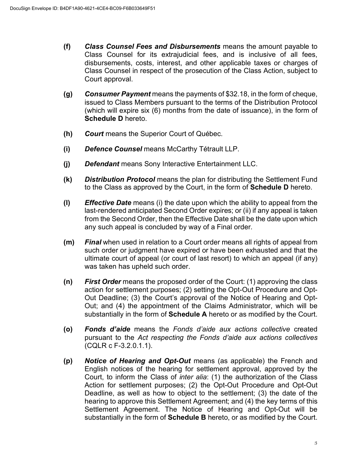- **(f)** *Class Counsel Fees and Disbursements* means the amount payable to Class Counsel for its extrajudicial fees, and is inclusive of all fees, disbursements, costs, interest, and other applicable taxes or charges of Class Counsel in respect of the prosecution of the Class Action, subject to Court approval.
- **(g)** *Consumer Payment* means the payments of \$32.18, in the form of cheque, issued to Class Members pursuant to the terms of the Distribution Protocol (which will expire six (6) months from the date of issuance), in the form of **Schedule D** hereto.
- **(h)** *Court* means the Superior Court of Québec.
- **(i)** *Defence Counsel* means McCarthy Tétrault LLP.
- **(j)** *Defendant* means Sony Interactive Entertainment LLC.
- **(k)** *Distribution Protocol* means the plan for distributing the Settlement Fund to the Class as approved by the Court, in the form of **Schedule D** hereto.
- **(l)** *Effective Date* means (i) the date upon which the ability to appeal from the last-rendered anticipated Second Order expires; or (ii) if any appeal is taken from the Second Order, then the Effective Date shall be the date upon which any such appeal is concluded by way of a Final order.
- **(m)** *Final* when used in relation to a Court order means all rights of appeal from such order or judgment have expired or have been exhausted and that the ultimate court of appeal (or court of last resort) to which an appeal (if any) was taken has upheld such order.
- **(n)** *First Order* means the proposed order of the Court: (1) approving the class action for settlement purposes; (2) setting the Opt-Out Procedure and Opt-Out Deadline; (3) the Court's approval of the Notice of Hearing and Opt-Out; and (4) the appointment of the Claims Administrator, which will be substantially in the form of **Schedule A** hereto or as modified by the Court.
- **(o)** *Fonds d'aide* means the *Fonds d'aide aux actions collective* created pursuant to the *Act respecting the Fonds d'aide aux actions collectives* (CQLR c F-3.2.0.1.1).
- **(p)** *Notice of Hearing and Opt-Out* means (as applicable) the French and English notices of the hearing for settlement approval, approved by the Court, to inform the Class of *inter alia*: (1) the authorization of the Class Action for settlement purposes; (2) the Opt-Out Procedure and Opt-Out Deadline, as well as how to object to the settlement; (3) the date of the hearing to approve this Settlement Agreement; and (4) the key terms of this Settlement Agreement. The Notice of Hearing and Opt-Out will be substantially in the form of **Schedule B** hereto, or as modified by the Court.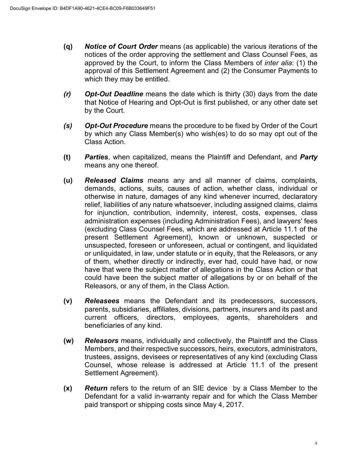- **(q)** *Notice of Court Order* means (as applicable) the various iterations of the notices of the order approving the settlement and Class Counsel Fees, as approved by the Court, to inform the Class Members of *inter alia*: (1) the approval of this Settlement Agreement and (2) the Consumer Payments to which they may be entitled.
- *(r) Opt-Out Deadline* means the date which is thirty (30) days from the date that Notice of Hearing and Opt-Out is first published, or any other date set by the Court.
- *(s) Opt-Out Procedure* means the procedure to be fixed by Order of the Court by which any Class Member(s) who wish(es) to do so may opt out of the Class Action.
- **(t)** *Parties*, when capitalized, means the Plaintiff and Defendant, and *Party* means any one thereof.
- **(u)** *Released Claims* means any and all manner of claims, complaints, demands, actions, suits, causes of action, whether class, individual or otherwise in nature, damages of any kind whenever incurred, declaratory relief, liabilities of any nature whatsoever, including assigned claims, claims for injunction, contribution, indemnity, interest, costs, expenses, class administration expenses (including Administration Fees), and lawyers' fees (excluding Class Counsel Fees, which are addressed at Article 11.1 of the present Settlement Agreement), known or unknown, suspected or unsuspected, foreseen or unforeseen, actual or contingent, and liquidated or unliquidated, in law, under statute or in equity, that the Releasors, or any of them, whether directly or indirectly, ever had, could have had, or now have that were the subject matter of allegations in the Class Action or that could have been the subject matter of allegations by or on behalf of the Releasors, or any of them, in the Class Action.
- **(v)** *Releasees* means the Defendant and its predecessors, successors, parents, subsidiaries, affiliates, divisions, partners, insurers and its past and current officers, directors, employees, agents, shareholders and beneficiaries of any kind.
- **(w)** *Releasors* means, individually and collectively, the Plaintiff and the Class Members, and their respective successors, heirs, executors, administrators, trustees, assigns, devisees or representatives of any kind (excluding Class Counsel, whose release is addressed at Article 11.1 of the present Settlement Agreement).
- **(x)** *Return* refers to the return of an SIE device by a Class Member to the Defendant for a valid in-warranty repair and for which the Class Member paid transport or shipping costs since May 4, 2017.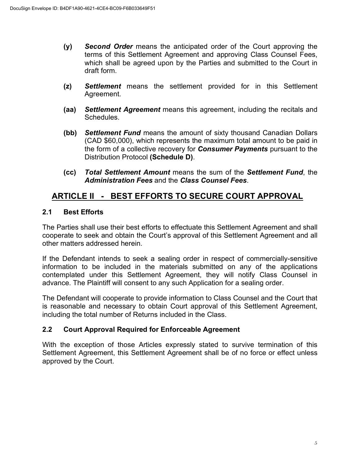- **(y)** *Second Order* means the anticipated order of the Court approving the terms of this Settlement Agreement and approving Class Counsel Fees, which shall be agreed upon by the Parties and submitted to the Court in draft form.
- **(z)** *Settlement* means the settlement provided for in this Settlement Agreement.
- **(aa)** *Settlement Agreement* means this agreement, including the recitals and Schedules.
- **(bb)** *Settlement Fund* means the amount of sixty thousand Canadian Dollars (CAD \$60,000), which represents the maximum total amount to be paid in the form of a collective recovery for *Consumer Payments* pursuant to the Distribution Protocol **(Schedule D)**.
- **(cc)** *Total Settlement Amount* means the sum of the *Settlement Fund*, the *Administration Fees* and the *Class Counsel Fees*.

# **ARTICLE II - BEST EFFORTS TO SECURE COURT APPROVAL**

### **2.1 Best Efforts**

The Parties shall use their best efforts to effectuate this Settlement Agreement and shall cooperate to seek and obtain the Court's approval of this Settlement Agreement and all other matters addressed herein.

If the Defendant intends to seek a sealing order in respect of commercially-sensitive information to be included in the materials submitted on any of the applications contemplated under this Settlement Agreement, they will notify Class Counsel in advance. The Plaintiff will consent to any such Application for a sealing order.

The Defendant will cooperate to provide information to Class Counsel and the Court that is reasonable and necessary to obtain Court approval of this Settlement Agreement, including the total number of Returns included in the Class.

### **2.2 Court Approval Required for Enforceable Agreement**

With the exception of those Articles expressly stated to survive termination of this Settlement Agreement, this Settlement Agreement shall be of no force or effect unless approved by the Court.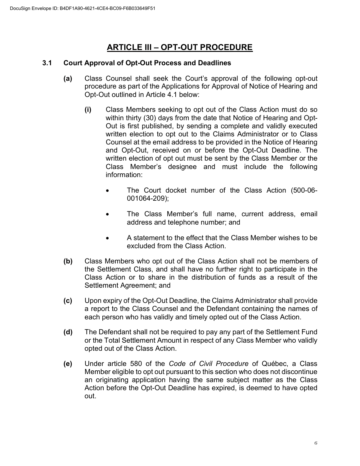# **ARTICLE III – OPT-OUT PROCEDURE**

#### **3.1 Court Approval of Opt-Out Process and Deadlines**

- **(a)** Class Counsel shall seek the Court's approval of the following opt-out procedure as part of the Applications for Approval of Notice of Hearing and Opt-Out outlined in Article 4.1 below:
	- **(i)** Class Members seeking to opt out of the Class Action must do so within thirty (30) days from the date that Notice of Hearing and Opt-Out is first published, by sending a complete and validly executed written election to opt out to the Claims Administrator or to Class Counsel at the email address to be provided in the Notice of Hearing and Opt-Out, received on or before the Opt-Out Deadline. The written election of opt out must be sent by the Class Member or the Class Member's designee and must include the following information:
		- The Court docket number of the Class Action (500-06- 001064-209);
		- The Class Member's full name, current address, email address and telephone number; and
		- A statement to the effect that the Class Member wishes to be excluded from the Class Action.
- **(b)** Class Members who opt out of the Class Action shall not be members of the Settlement Class, and shall have no further right to participate in the Class Action or to share in the distribution of funds as a result of the Settlement Agreement; and
- **(c)** Upon expiry of the Opt-Out Deadline, the Claims Administrator shall provide a report to the Class Counsel and the Defendant containing the names of each person who has validly and timely opted out of the Class Action.
- **(d)** The Defendant shall not be required to pay any part of the Settlement Fund or the Total Settlement Amount in respect of any Class Member who validly opted out of the Class Action.
- **(e)** Under article 580 of the *Code of Civil Procedure* of Québec, a Class Member eligible to opt out pursuant to this section who does not discontinue an originating application having the same subject matter as the Class Action before the Opt-Out Deadline has expired, is deemed to have opted out.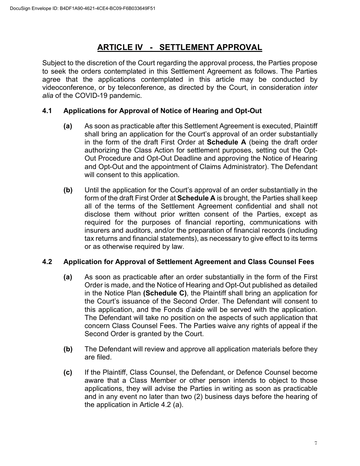# **ARTICLE IV - SETTLEMENT APPROVAL**

Subject to the discretion of the Court regarding the approval process, the Parties propose to seek the orders contemplated in this Settlement Agreement as follows. The Parties agree that the applications contemplated in this article may be conducted by videoconference, or by teleconference, as directed by the Court, in consideration *inter alia* of the COVID-19 pandemic.

#### **4.1 Applications for Approval of Notice of Hearing and Opt-Out**

- **(a)** As soon as practicable after this Settlement Agreement is executed, Plaintiff shall bring an application for the Court's approval of an order substantially in the form of the draft First Order at **Schedule A** (being the draft order authorizing the Class Action for settlement purposes, setting out the Opt-Out Procedure and Opt-Out Deadline and approving the Notice of Hearing and Opt-Out and the appointment of Claims Administrator). The Defendant will consent to this application.
- **(b)** Until the application for the Court's approval of an order substantially in the form of the draft First Order at **Schedule A** is brought, the Parties shall keep all of the terms of the Settlement Agreement confidential and shall not disclose them without prior written consent of the Parties, except as required for the purposes of financial reporting, communications with insurers and auditors, and/or the preparation of financial records (including tax returns and financial statements), as necessary to give effect to its terms or as otherwise required by law.

#### **4.2 Application for Approval of Settlement Agreement and Class Counsel Fees**

- **(a)** As soon as practicable after an order substantially in the form of the First Order is made, and the Notice of Hearing and Opt-Out published as detailed in the Notice Plan **(Schedule C)**, the Plaintiff shall bring an application for the Court's issuance of the Second Order. The Defendant will consent to this application, and the Fonds d'aide will be served with the application. The Defendant will take no position on the aspects of such application that concern Class Counsel Fees. The Parties waive any rights of appeal if the Second Order is granted by the Court.
- **(b)** The Defendant will review and approve all application materials before they are filed.
- **(c)** If the Plaintiff, Class Counsel, the Defendant, or Defence Counsel become aware that a Class Member or other person intends to object to those applications, they will advise the Parties in writing as soon as practicable and in any event no later than two (2) business days before the hearing of the application in Article 4.2 (a).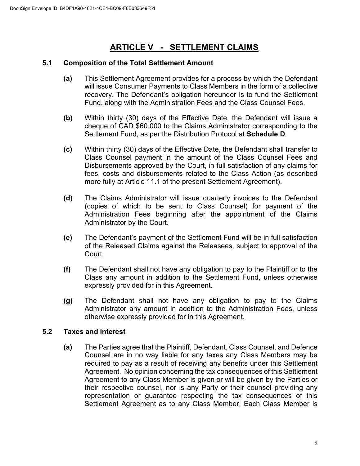# **ARTICLE V - SETTLEMENT CLAIMS**

#### **5.1 Composition of the Total Settlement Amount**

- **(a)** This Settlement Agreement provides for a process by which the Defendant will issue Consumer Payments to Class Members in the form of a collective recovery. The Defendant's obligation hereunder is to fund the Settlement Fund, along with the Administration Fees and the Class Counsel Fees.
- **(b)** Within thirty (30) days of the Effective Date, the Defendant will issue a cheque of CAD \$60,000 to the Claims Administrator corresponding to the Settlement Fund, as per the Distribution Protocol at **Schedule D**.
- **(c)** Within thirty (30) days of the Effective Date, the Defendant shall transfer to Class Counsel payment in the amount of the Class Counsel Fees and Disbursements approved by the Court, in full satisfaction of any claims for fees, costs and disbursements related to the Class Action (as described more fully at Article 11.1 of the present Settlement Agreement).
- **(d)** The Claims Administrator will issue quarterly invoices to the Defendant (copies of which to be sent to Class Counsel) for payment of the Administration Fees beginning after the appointment of the Claims Administrator by the Court.
- **(e)** The Defendant's payment of the Settlement Fund will be in full satisfaction of the Released Claims against the Releasees, subject to approval of the Court.
- **(f)** The Defendant shall not have any obligation to pay to the Plaintiff or to the Class any amount in addition to the Settlement Fund, unless otherwise expressly provided for in this Agreement.
- **(g)** The Defendant shall not have any obligation to pay to the Claims Administrator any amount in addition to the Administration Fees, unless otherwise expressly provided for in this Agreement.

#### **5.2 Taxes and Interest**

**(a)** The Parties agree that the Plaintiff, Defendant, Class Counsel, and Defence Counsel are in no way liable for any taxes any Class Members may be required to pay as a result of receiving any benefits under this Settlement Agreement. No opinion concerning the tax consequences of this Settlement Agreement to any Class Member is given or will be given by the Parties or their respective counsel, nor is any Party or their counsel providing any representation or guarantee respecting the tax consequences of this Settlement Agreement as to any Class Member. Each Class Member is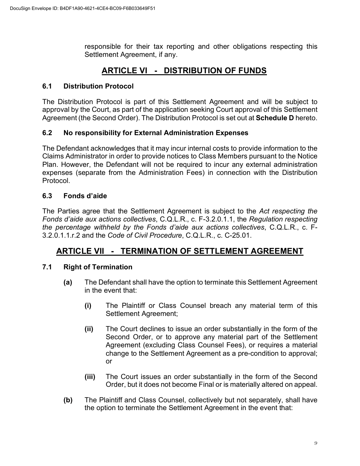responsible for their tax reporting and other obligations respecting this Settlement Agreement, if any.

# **ARTICLE VI - DISTRIBUTION OF FUNDS**

### **6.1 Distribution Protocol**

The Distribution Protocol is part of this Settlement Agreement and will be subject to approval by the Court, as part of the application seeking Court approval of this Settlement Agreement (the Second Order). The Distribution Protocol is set out at **Schedule D** hereto.

#### **6.2 No responsibility for External Administration Expenses**

The Defendant acknowledges that it may incur internal costs to provide information to the Claims Administrator in order to provide notices to Class Members pursuant to the Notice Plan. However, the Defendant will not be required to incur any external administration expenses (separate from the Administration Fees) in connection with the Distribution Protocol.

#### **6.3 Fonds d'aide**

The Parties agree that the Settlement Agreement is subject to the *Act respecting the Fonds d'aide aux actions collectives*, C.Q.L.R., c. F-3.2.0.1.1, the *Regulation respecting the percentage withheld by the Fonds d'aide aux actions collectives*, C.Q.L.R., c. F-3.2.0.1.1.r.2 and the *Code of Civil Procedure*, C.Q.L.R., c. C-25.01.

## **ARTICLE VII - TERMINATION OF SETTLEMENT AGREEMENT**

### **7.1 Right of Termination**

- **(a)** The Defendant shall have the option to terminate this Settlement Agreement in the event that:
	- **(i)** The Plaintiff or Class Counsel breach any material term of this Settlement Agreement;
	- **(ii)** The Court declines to issue an order substantially in the form of the Second Order, or to approve any material part of the Settlement Agreement (excluding Class Counsel Fees), or requires a material change to the Settlement Agreement as a pre-condition to approval; or
	- **(iii)** The Court issues an order substantially in the form of the Second Order, but it does not become Final or is materially altered on appeal.
- **(b)** The Plaintiff and Class Counsel, collectively but not separately, shall have the option to terminate the Settlement Agreement in the event that: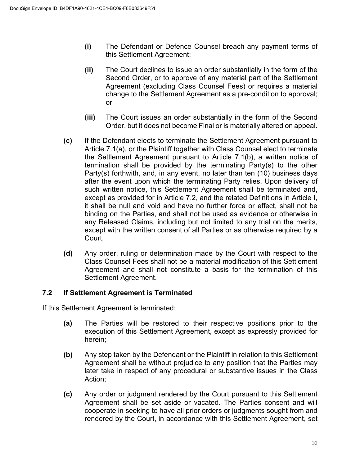- **(i)** The Defendant or Defence Counsel breach any payment terms of this Settlement Agreement;
- **(ii)** The Court declines to issue an order substantially in the form of the Second Order, or to approve of any material part of the Settlement Agreement (excluding Class Counsel Fees) or requires a material change to the Settlement Agreement as a pre-condition to approval; or
- **(iii)** The Court issues an order substantially in the form of the Second Order, but it does not become Final or is materially altered on appeal.
- **(c)** If the Defendant elects to terminate the Settlement Agreement pursuant to Article 7.1(a), or the Plaintiff together with Class Counsel elect to terminate the Settlement Agreement pursuant to Article 7.1(b), a written notice of termination shall be provided by the terminating Party(s) to the other Party(s) forthwith, and, in any event, no later than ten (10) business days after the event upon which the terminating Party relies. Upon delivery of such written notice, this Settlement Agreement shall be terminated and, except as provided for in Article 7.2, and the related Definitions in Article I, it shall be null and void and have no further force or effect, shall not be binding on the Parties, and shall not be used as evidence or otherwise in any Released Claims, including but not limited to any trial on the merits, except with the written consent of all Parties or as otherwise required by a Court.
- **(d)** Any order, ruling or determination made by the Court with respect to the Class Counsel Fees shall not be a material modification of this Settlement Agreement and shall not constitute a basis for the termination of this Settlement Agreement.

#### **7.2 If Settlement Agreement is Terminated**

If this Settlement Agreement is terminated:

- **(a)** The Parties will be restored to their respective positions prior to the execution of this Settlement Agreement, except as expressly provided for herein;
- **(b)** Any step taken by the Defendant or the Plaintiff in relation to this Settlement Agreement shall be without prejudice to any position that the Parties may later take in respect of any procedural or substantive issues in the Class Action;
- **(c)** Any order or judgment rendered by the Court pursuant to this Settlement Agreement shall be set aside or vacated. The Parties consent and will cooperate in seeking to have all prior orders or judgments sought from and rendered by the Court, in accordance with this Settlement Agreement, set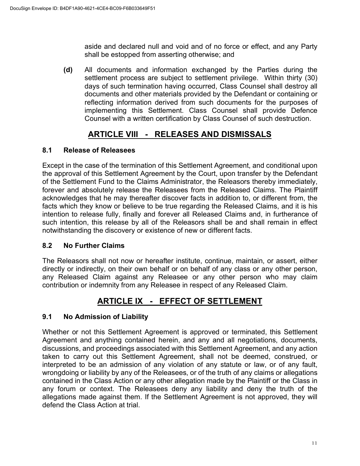aside and declared null and void and of no force or effect, and any Party shall be estopped from asserting otherwise; and

**(d)** All documents and information exchanged by the Parties during the settlement process are subject to settlement privilege. Within thirty (30) days of such termination having occurred, Class Counsel shall destroy all documents and other materials provided by the Defendant or containing or reflecting information derived from such documents for the purposes of implementing this Settlement. Class Counsel shall provide Defence Counsel with a written certification by Class Counsel of such destruction.

# **ARTICLE VIII - RELEASES AND DISMISSALS**

### **8.1 Release of Releasees**

Except in the case of the termination of this Settlement Agreement, and conditional upon the approval of this Settlement Agreement by the Court, upon transfer by the Defendant of the Settlement Fund to the Claims Administrator, the Releasors thereby immediately, forever and absolutely release the Releasees from the Released Claims. The Plaintiff acknowledges that he may thereafter discover facts in addition to, or different from, the facts which they know or believe to be true regarding the Released Claims, and it is his intention to release fully, finally and forever all Released Claims and, in furtherance of such intention, this release by all of the Releasors shall be and shall remain in effect notwithstanding the discovery or existence of new or different facts.

### **8.2 No Further Claims**

The Releasors shall not now or hereafter institute, continue, maintain, or assert, either directly or indirectly, on their own behalf or on behalf of any class or any other person, any Released Claim against any Releasee or any other person who may claim contribution or indemnity from any Releasee in respect of any Released Claim.

# **ARTICLE IX - EFFECT OF SETTLEMENT**

### **9.1 No Admission of Liability**

Whether or not this Settlement Agreement is approved or terminated, this Settlement Agreement and anything contained herein, and any and all negotiations, documents, discussions, and proceedings associated with this Settlement Agreement, and any action taken to carry out this Settlement Agreement, shall not be deemed, construed, or interpreted to be an admission of any violation of any statute or law, or of any fault, wrongdoing or liability by any of the Releasees, or of the truth of any claims or allegations contained in the Class Action or any other allegation made by the Plaintiff or the Class in any forum or context. The Releasees deny any liability and deny the truth of the allegations made against them. If the Settlement Agreement is not approved, they will defend the Class Action at trial.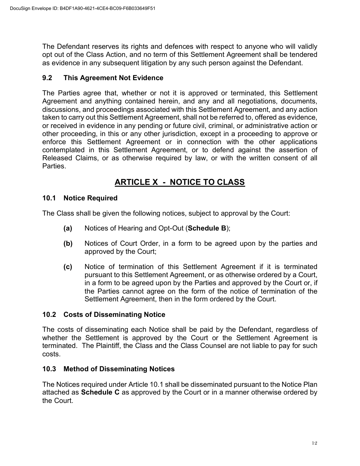The Defendant reserves its rights and defences with respect to anyone who will validly opt out of the Class Action, and no term of this Settlement Agreement shall be tendered as evidence in any subsequent litigation by any such person against the Defendant.

#### **9.2 This Agreement Not Evidence**

The Parties agree that, whether or not it is approved or terminated, this Settlement Agreement and anything contained herein, and any and all negotiations, documents, discussions, and proceedings associated with this Settlement Agreement, and any action taken to carry out this Settlement Agreement, shall not be referred to, offered as evidence, or received in evidence in any pending or future civil, criminal, or administrative action or other proceeding, in this or any other jurisdiction, except in a proceeding to approve or enforce this Settlement Agreement or in connection with the other applications contemplated in this Settlement Agreement, or to defend against the assertion of Released Claims, or as otherwise required by law, or with the written consent of all Parties.

# **ARTICLE X - NOTICE TO CLASS**

#### **10.1 Notice Required**

The Class shall be given the following notices, subject to approval by the Court:

- **(a)** Notices of Hearing and Opt-Out (**Schedule B**);
- **(b)** Notices of Court Order, in a form to be agreed upon by the parties and approved by the Court;
- **(c)** Notice of termination of this Settlement Agreement if it is terminated pursuant to this Settlement Agreement, or as otherwise ordered by a Court, in a form to be agreed upon by the Parties and approved by the Court or, if the Parties cannot agree on the form of the notice of termination of the Settlement Agreement, then in the form ordered by the Court.

#### **10.2 Costs of Disseminating Notice**

The costs of disseminating each Notice shall be paid by the Defendant, regardless of whether the Settlement is approved by the Court or the Settlement Agreement is terminated. The Plaintiff, the Class and the Class Counsel are not liable to pay for such costs.

#### **10.3 Method of Disseminating Notices**

The Notices required under Article 10.1 shall be disseminated pursuant to the Notice Plan attached as **Schedule C** as approved by the Court or in a manner otherwise ordered by the Court.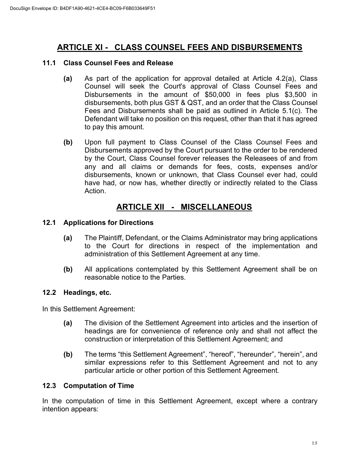# **ARTICLE XI - CLASS COUNSEL FEES AND DISBURSEMENTS**

#### **11.1 Class Counsel Fees and Release**

- **(a)** As part of the application for approval detailed at Article 4.2(a), Class Counsel will seek the Court's approval of Class Counsel Fees and Disbursements in the amount of \$50,000 in fees plus \$3,500 in disbursements, both plus GST & QST, and an order that the Class Counsel Fees and Disbursements shall be paid as outlined in Article 5.1(c). The Defendant will take no position on this request, other than that it has agreed to pay this amount.
- **(b)** Upon full payment to Class Counsel of the Class Counsel Fees and Disbursements approved by the Court pursuant to the order to be rendered by the Court, Class Counsel forever releases the Releasees of and from any and all claims or demands for fees, costs, expenses and/or disbursements, known or unknown, that Class Counsel ever had, could have had, or now has, whether directly or indirectly related to the Class Action.

## **ARTICLE XII - MISCELLANEOUS**

#### **12.1 Applications for Directions**

- **(a)** The Plaintiff, Defendant, or the Claims Administrator may bring applications to the Court for directions in respect of the implementation and administration of this Settlement Agreement at any time.
- **(b)** All applications contemplated by this Settlement Agreement shall be on reasonable notice to the Parties.

#### **12.2 Headings, etc.**

In this Settlement Agreement:

- **(a)** The division of the Settlement Agreement into articles and the insertion of headings are for convenience of reference only and shall not affect the construction or interpretation of this Settlement Agreement; and
- **(b)** The terms "this Settlement Agreement", "hereof", "hereunder", "herein", and similar expressions refer to this Settlement Agreement and not to any particular article or other portion of this Settlement Agreement.

#### **12.3 Computation of Time**

In the computation of time in this Settlement Agreement, except where a contrary intention appears: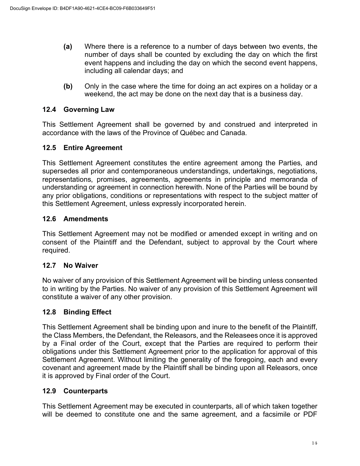- **(a)** Where there is a reference to a number of days between two events, the number of days shall be counted by excluding the day on which the first event happens and including the day on which the second event happens, including all calendar days; and
- **(b)** Only in the case where the time for doing an act expires on a holiday or a weekend, the act may be done on the next day that is a business day.

#### **12.4 Governing Law**

This Settlement Agreement shall be governed by and construed and interpreted in accordance with the laws of the Province of Québec and Canada.

#### **12.5 Entire Agreement**

This Settlement Agreement constitutes the entire agreement among the Parties, and supersedes all prior and contemporaneous understandings, undertakings, negotiations, representations, promises, agreements, agreements in principle and memoranda of understanding or agreement in connection herewith. None of the Parties will be bound by any prior obligations, conditions or representations with respect to the subject matter of this Settlement Agreement, unless expressly incorporated herein.

#### **12.6 Amendments**

This Settlement Agreement may not be modified or amended except in writing and on consent of the Plaintiff and the Defendant, subject to approval by the Court where required.

#### **12.7 No Waiver**

No waiver of any provision of this Settlement Agreement will be binding unless consented to in writing by the Parties. No waiver of any provision of this Settlement Agreement will constitute a waiver of any other provision.

#### **12.8 Binding Effect**

This Settlement Agreement shall be binding upon and inure to the benefit of the Plaintiff, the Class Members, the Defendant, the Releasors, and the Releasees once it is approved by a Final order of the Court, except that the Parties are required to perform their obligations under this Settlement Agreement prior to the application for approval of this Settlement Agreement. Without limiting the generality of the foregoing, each and every covenant and agreement made by the Plaintiff shall be binding upon all Releasors, once it is approved by Final order of the Court.

#### **12.9 Counterparts**

This Settlement Agreement may be executed in counterparts, all of which taken together will be deemed to constitute one and the same agreement, and a facsimile or PDF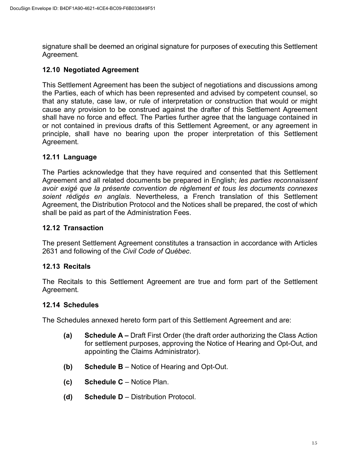signature shall be deemed an original signature for purposes of executing this Settlement Agreement.

#### **12.10 Negotiated Agreement**

This Settlement Agreement has been the subject of negotiations and discussions among the Parties, each of which has been represented and advised by competent counsel, so that any statute, case law, or rule of interpretation or construction that would or might cause any provision to be construed against the drafter of this Settlement Agreement shall have no force and effect. The Parties further agree that the language contained in or not contained in previous drafts of this Settlement Agreement, or any agreement in principle, shall have no bearing upon the proper interpretation of this Settlement Agreement.

#### **12.11 Language**

The Parties acknowledge that they have required and consented that this Settlement Agreement and all related documents be prepared in English; *les parties reconnaissent avoir exigé que la présente convention de règlement et tous les documents connexes soient rédigés en anglais*. Nevertheless, a French translation of this Settlement Agreement, the Distribution Protocol and the Notices shall be prepared, the cost of which shall be paid as part of the Administration Fees.

#### **12.12 Transaction**

The present Settlement Agreement constitutes a transaction in accordance with Articles 2631 and following of the *Civil Code of Québec*.

#### **12.13 Recitals**

The Recitals to this Settlement Agreement are true and form part of the Settlement Agreement.

#### **12.14 Schedules**

The Schedules annexed hereto form part of this Settlement Agreement and are:

- **(a) Schedule A –** Draft First Order (the draft order authorizing the Class Action for settlement purposes, approving the Notice of Hearing and Opt-Out, and appointing the Claims Administrator).
- **(b) Schedule B** Notice of Hearing and Opt-Out.
- **(c) Schedule C** Notice Plan.
- **(d) Schedule D** Distribution Protocol.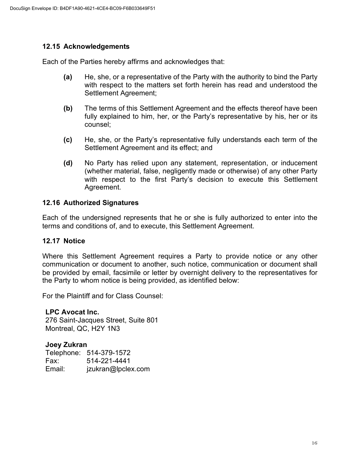#### **12.15 Acknowledgements**

Each of the Parties hereby affirms and acknowledges that:

- **(a)** He, she, or a representative of the Party with the authority to bind the Party with respect to the matters set forth herein has read and understood the Settlement Agreement;
- **(b)** The terms of this Settlement Agreement and the effects thereof have been fully explained to him, her, or the Party's representative by his, her or its counsel;
- **(c)** He, she, or the Party's representative fully understands each term of the Settlement Agreement and its effect; and
- **(d)** No Party has relied upon any statement, representation, or inducement (whether material, false, negligently made or otherwise) of any other Party with respect to the first Party's decision to execute this Settlement Agreement.

#### **12.16 Authorized Signatures**

Each of the undersigned represents that he or she is fully authorized to enter into the terms and conditions of, and to execute, this Settlement Agreement.

#### **12.17 Notice**

Where this Settlement Agreement requires a Party to provide notice or any other communication or document to another, such notice, communication or document shall be provided by email, facsimile or letter by overnight delivery to the representatives for the Party to whom notice is being provided, as identified below:

For the Plaintiff and for Class Counsel:

#### **LPC Avocat Inc.**

276 Saint-Jacques Street, Suite 801 Montreal, QC, H2Y 1N3

#### **Joey Zukran**

|        | Telephone: 514-379-1572 |
|--------|-------------------------|
| Fax:   | 514-221-4441            |
| Email: | jzukran@lpclex.com      |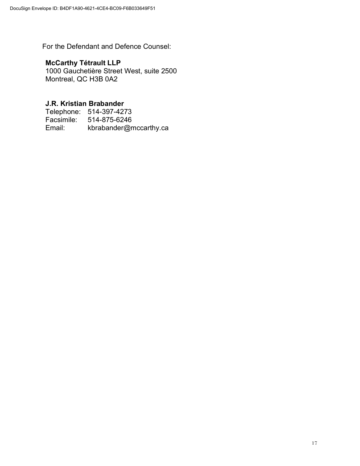For the Defendant and Defence Counsel:

### **McCarthy Tétrault LLP**

1000 Gauchetière Street West, suite 2500 Montreal, QC H3B 0A2

#### **J.R. Kristian Brabander**

Telephone: 514-397-4273<br>Facsimile: 514-875-6246 Facsimile: 514-875-6246<br>Email: kbrabander@n kbrabander@mccarthy.ca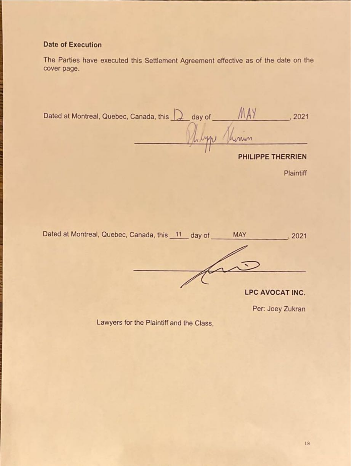# **Date of Execution**

The Parties have executed this Settlement Agreement effective as of the date on the cover page.

| Dated at Montreal, Quebec, Canada, this | day of |                   | 2021 |
|-----------------------------------------|--------|-------------------|------|
|                                         |        | unun              |      |
|                                         |        | PHILIPPE THERRIEN |      |

Plaintiff

Dated at Montreal, Quebec, Canada, this 11 day of MAY  $, 2021$ LPC AVOCAT INC.

Per: Joey Zukran

Lawyers for the Plaintiff and the Class,

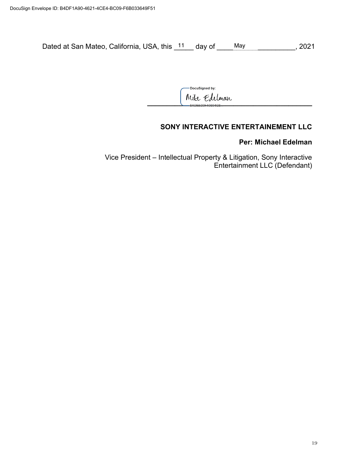Dated at San Mateo, California, USA, this 11 day of May May 19921

-DocuSigned by: **\_\_\_\_\_\_\_\_\_\_\_\_\_\_\_\_\_\_\_\_\_\_\_\_\_\_\_\_\_\_\_\_\_\_\_\_\_\_\_\_\_\_**

### **SONY INTERACTIVE ENTERTAINEMENT LLC**

#### **Per: Michael Edelman**

Vice President – Intellectual Property & Litigation, Sony Interactive Entertainment LLC (Defendant)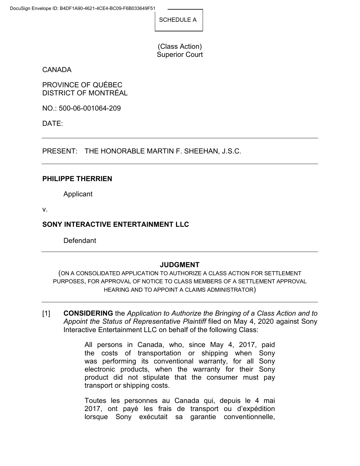SCHEDULE A

(Class Action) Superior Court

CANADA

PROVINCE OF QUÉBEC DISTRICT OF MONTRÉAL

NO.: 500-06-001064-209

DATE:

PRESENT: THE HONORABLE MARTIN F. SHEEHAN, J.S.C.

#### **PHILIPPE THERRIEN**

Applicant

v.

### **SONY INTERACTIVE ENTERTAINMENT LLC**

Defendant

#### **JUDGMENT**

(ON A CONSOLIDATED APPLICATION TO AUTHORIZE A CLASS ACTION FOR SETTLEMENT PURPOSES, FOR APPROVAL OF NOTICE TO CLASS MEMBERS OF A SETTLEMENT APPROVAL HEARING AND TO APPOINT A CLAIMS ADMINISTRATOR)

[1] **CONSIDERING** the *Application to Authorize the Bringing of a Class Action and to Appoint the Status of Representative Plaintiff* filed on May 4, 2020 against Sony Interactive Entertainment LLC on behalf of the following Class:

> All persons in Canada, who, since May 4, 2017, paid the costs of transportation or shipping when Sony was performing its conventional warranty, for all Sony electronic products, when the warranty for their Sony product did not stipulate that the consumer must pay transport or shipping costs.

> Toutes les personnes au Canada qui, depuis le 4 mai 2017, ont payé les frais de transport ou d'expédition lorsque Sony exécutait sa garantie conventionnelle,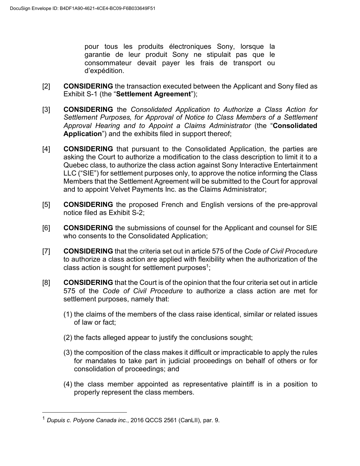pour tous les produits électroniques Sony, lorsque la garantie de leur produit Sony ne stipulait pas que le consommateur devait payer les frais de transport ou d'expédition.

- [2] **CONSIDERING** the transaction executed between the Applicant and Sony filed as Exhibit S-1 (the "**Settlement Agreement**");
- [3] **CONSIDERING** the *Consolidated Application to Authorize a Class Action for Settlement Purposes, for Approval of Notice to Class Members of a Settlement Approval Hearing and to Appoint a Claims Administrator* (the "**Consolidated Application**") and the exhibits filed in support thereof;
- [4] **CONSIDERING** that pursuant to the Consolidated Application, the parties are asking the Court to authorize a modification to the class description to limit it to a Quebec class, to authorize the class action against Sony Interactive Entertainment LLC ("SIE") for settlement purposes only, to approve the notice informing the Class Members that the Settlement Agreement will be submitted to the Court for approval and to appoint Velvet Payments Inc. as the Claims Administrator;
- [5] **CONSIDERING** the proposed French and English versions of the pre-approval notice filed as Exhibit S-2;
- [6] **CONSIDERING** the submissions of counsel for the Applicant and counsel for SIE who consents to the Consolidated Application;
- [7] **CONSIDERING** that the criteria set out in article 575 of the *Code of Civil Procedure* to authorize a class action are applied with flexibility when the authorization of the class action is sought for settlement purposes<sup>1</sup>;
- [8] **CONSIDERING** that the Court is of the opinion that the four criteria set out in article 575 of the *Code of Civil Procedure* to authorize a class action are met for settlement purposes, namely that:
	- (1) the claims of the members of the class raise identical, similar or related issues of law or fact;
	- (2) the facts alleged appear to justify the conclusions sought;
	- (3) the composition of the class makes it difficult or impracticable to apply the rules for mandates to take part in judicial proceedings on behalf of others or for consolidation of proceedings; and
	- (4) the class member appointed as representative plaintiff is in a position to properly represent the class members.

 <sup>1</sup> *Dupuis c. Polyone Canada inc.*, 2016 QCCS 2561 (CanLII), par. 9.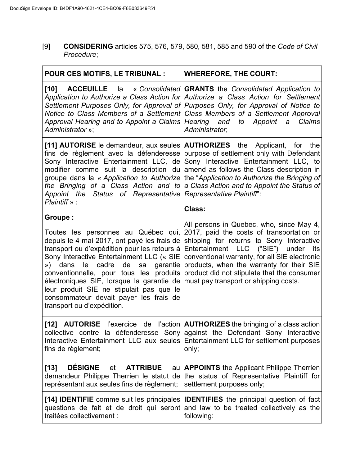[9] **CONSIDERING** articles 575, 576, 579, 580, 581, 585 and 590 of the *Code of Civil Procedure*;

| <b>POUR CES MOTIFS, LE TRIBUNAL :</b>                                                                                                                                                                                                                                                                                                                                                                                                                              | <b>WHEREFORE, THE COURT:</b>                                                                                                                                                                                                                                                                                                                                                                                                                |
|--------------------------------------------------------------------------------------------------------------------------------------------------------------------------------------------------------------------------------------------------------------------------------------------------------------------------------------------------------------------------------------------------------------------------------------------------------------------|---------------------------------------------------------------------------------------------------------------------------------------------------------------------------------------------------------------------------------------------------------------------------------------------------------------------------------------------------------------------------------------------------------------------------------------------|
| [10]<br>Approval Hearing and to Appoint a Claims Hearing and to Appoint<br>Administrator »;                                                                                                                                                                                                                                                                                                                                                                        | <b>ACCEUILLE</b> la « Consolidated GRANTS the Consolidated Application to<br>Application to Authorize a Class Action for Authorize a Class Action for Settlement<br>Settlement Purposes Only, for Approval of Purposes Only, for Approval of Notice to<br>Notice to Class Members of a Settlement Class Members of a Settlement Approval<br><b>Claims</b><br>$\boldsymbol{a}$<br>Administrator;                                             |
| [11] AUTORISE le demandeur, aux seules   AUTHORIZES the Applicant, for<br>Appoint the Status of Representative Representative Plaintiff':<br>Plaintiff » :                                                                                                                                                                                                                                                                                                         | the<br>fins de règlement avec la défenderesse purpose of settlement only with Defendant<br>Sony Interactive Entertainment LLC, de Sony Interactive Entertainment LLC, to<br>modifier comme suit la description du amend as follows the Class description in<br>groupe dans la « Application to Authorize the "Application to Authorize the Bringing of<br>the Bringing of a Class Action and to a Class Action and to Appoint the Status of |
| <b>Groupe:</b><br>Toutes les personnes au Québec qui,<br>depuis le 4 mai 2017, ont payé les frais de<br>transport ou d'expédition pour les retours à<br>Sony Interactive Entertainment LLC (« SIE<br>cadre<br>de<br>garantie<br>dans<br>le<br>»)<br>sa<br>conventionnelle, pour tous les produits<br>électroniques SIE, lorsque la garantie de<br>leur produit SIE ne stipulait pas que le<br>consommateur devait payer les frais de<br>transport ou d'expédition. | Class:<br>All persons in Quebec, who, since May 4,<br>2017, paid the costs of transportation or<br>shipping for returns to Sony Interactive<br>Entertainment LLC ("SIE") under<br>its<br>conventional warranty, for all SIE electronic<br>products, when the warranty for their SIE<br>product did not stipulate that the consumer<br>must pay transport or shipping costs.                                                                 |
| $[12]$<br><b>AUTORISE</b> l'exercice<br>fins de règlement;                                                                                                                                                                                                                                                                                                                                                                                                         | de l'action $\vert$ <b>AUTHORIZES</b> the bringing of a class action<br>collective contre la défenderesse Sony against the Defendant Sony Interactive<br>Interactive Entertainment LLC aux seules Entertainment LLC for settlement purposes<br>only;                                                                                                                                                                                        |
| <b>DÉSIGNE</b><br>$[13]$<br><b>ATTRIBUE</b><br>et<br>demandeur Philippe Therrien le statut de<br>représentant aux seules fins de règlement;                                                                                                                                                                                                                                                                                                                        | au <b>APPOINTS</b> the Applicant Philippe Therrien<br>the status of Representative Plaintiff for<br>settlement purposes only;                                                                                                                                                                                                                                                                                                               |
| [14] <b>IDENTIFIE</b> comme suit les principales<br>questions de fait et de droit qui seront<br>traitées collectivement :                                                                                                                                                                                                                                                                                                                                          | <b>IDENTIFIES</b> the principal question of fact<br>and law to be treated collectively as the<br>following:                                                                                                                                                                                                                                                                                                                                 |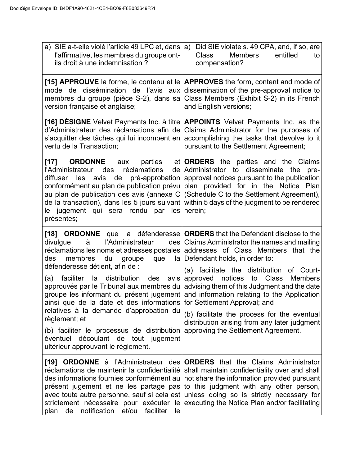| a) SIE a-t-elle violé l'article 49 LPC et, dans $ a\rangle$<br>l'affirmative, les membres du groupe ont-<br>ils droit à une indemnisation?                                                                                                                                                                                                                                                                           | Did SIE violate s. 49 CPA, and, if so, are<br><b>Class</b><br><b>Members</b><br>entitled<br>to<br>compensation?                                                                                                                                                                                                                                                                                                                                                                                                                                                                                                                                                                   |
|----------------------------------------------------------------------------------------------------------------------------------------------------------------------------------------------------------------------------------------------------------------------------------------------------------------------------------------------------------------------------------------------------------------------|-----------------------------------------------------------------------------------------------------------------------------------------------------------------------------------------------------------------------------------------------------------------------------------------------------------------------------------------------------------------------------------------------------------------------------------------------------------------------------------------------------------------------------------------------------------------------------------------------------------------------------------------------------------------------------------|
| mode de dissémination de l'avis aux<br>version française et anglaise;                                                                                                                                                                                                                                                                                                                                                | [15] APPROUVE la forme, le contenu et le $APPROVES$ the form, content and mode of<br>dissemination of the pre-approval notice to<br>membres du groupe (pièce S-2), dans sa Class Members (Exhibit S-2) in its French<br>and English versions;                                                                                                                                                                                                                                                                                                                                                                                                                                     |
| d'Administrateur des réclamations afin de<br>s'acquitter des tâches qui lui incombent en<br>vertu de la Transaction;                                                                                                                                                                                                                                                                                                 | [16] DESIGNE Velvet Payments Inc. à titre <b>APPOINTS</b> Velvet Payments Inc. as the<br>Claims Administrator for the purposes of<br>accomplishing the tasks that devolve to it<br>pursuant to the Settlement Agreement;                                                                                                                                                                                                                                                                                                                                                                                                                                                          |
| [17]<br><b>ORDONNE</b><br>aux<br>des<br>réclamations<br>l'Administrateur<br>diffuser les<br>avis<br>de<br>le jugement qui sera rendu par<br>présentes;                                                                                                                                                                                                                                                               | parties et <b>ORDERS</b> the parties and the Claims<br>de Administrator to disseminate the<br>pre-<br>pré-approbation   approval notices pursuant to the publication<br>conformément au plan de publication prévu   plan provided for in the Notice Plan<br>au plan de publication des avis (annexe $C/(S$ chedule C to the Settlement Agreement),<br>de la transaction), dans les 5 jours suivant within 5 days of the judgment to be rendered<br>$les$ herein;                                                                                                                                                                                                                  |
| l'Administrateur<br>divulgue<br>à<br>membres<br>des<br>du<br>groupe<br>que<br>défenderesse détient, afin de :<br>la distribution<br>faciliter<br>(a)<br>ainsi que de la date et des informations for Settlement Approval; and<br>relatives à la demande d'approbation du<br>règlement; et<br>(b) faciliter le processus de distribution<br>éventuel découlant de tout jugement<br>ultérieur approuvant le règlement. | [18] ORDONNE que la défenderesse ORDERS that the Defendant disclose to the<br>des   Claims Administrator the names and mailing<br>réclamations les noms et adresses postales addresses of Class Members that the<br>la   Defendant holds, in order to:<br>(a) facilitate the distribution of Court-<br>des avis approved notices to Class<br><b>Members</b><br>approuvés par le Tribunal aux membres du advising them of this Judgment and the date<br>groupe les informant du présent jugement and information relating to the Application<br>(b) facilitate the process for the eventual<br>distribution arising from any later judgment<br>approving the Settlement Agreement. |
| réclamations de maintenir la confidentialité<br>des informations fournies conformément au<br>présent jugement et ne les partage pas<br>avec toute autre personne, sauf si cela est<br>strictement nécessaire pour exécuter le<br>notification et/ou faciliter<br>de<br>plan<br>le                                                                                                                                    | [19] ORDONNE à l'Administrateur des ORDERS that the Claims Administrator<br>shall maintain confidentiality over and shall<br>not share the information provided pursuant<br>to this judgment with any other person,<br>unless doing so is strictly necessary for<br>executing the Notice Plan and/or facilitating                                                                                                                                                                                                                                                                                                                                                                 |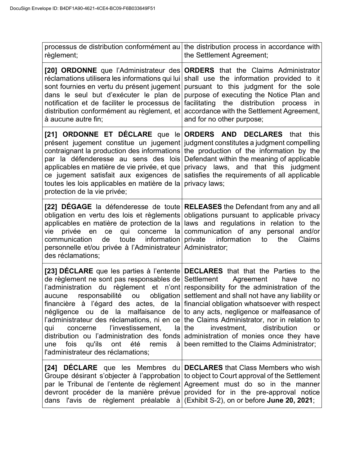| règlement;                                                                                                                                                                                                                 | processus de distribution conformément au the distribution process in accordance with<br>the Settlement Agreement;                                                                                                                                                                                                                                                                                                                                                                                                                                                                                                                                                                                         |
|----------------------------------------------------------------------------------------------------------------------------------------------------------------------------------------------------------------------------|------------------------------------------------------------------------------------------------------------------------------------------------------------------------------------------------------------------------------------------------------------------------------------------------------------------------------------------------------------------------------------------------------------------------------------------------------------------------------------------------------------------------------------------------------------------------------------------------------------------------------------------------------------------------------------------------------------|
| à aucune autre fin;                                                                                                                                                                                                        | [20] ORDONNE que l'Administrateur des ORDERS that the Claims Administrator<br>réclamations utilisera les informations qui lui shall use the information provided to it<br>sont fournies en vertu du présent jugement pursuant to this judgment for the sole<br>dans le seul but d'exécuter le plan de purpose of executing the Notice Plan and<br>notification et de faciliter le processus de facilitating the distribution process in<br>distribution conformément au règlement, et accordance with the Settlement Agreement,<br>and for no other purpose;                                                                                                                                               |
| toutes les lois applicables en matière de la privacy laws;<br>protection de la vie privée;                                                                                                                                 | [21] ORDONNE ET DÉCLARE que le ORDERS AND DECLARES that this<br>présent jugement constitue un jugement judgment constitutes a judgment compelling<br>contraignant la production des informations the production of the information by the<br>par la défenderesse au sens des lois Defendant within the meaning of applicable<br>applicables en matière de vie privée, et que privacy laws, and that this judgment<br>ce jugement satisfait aux exigences de satisfies the requirements of all applicable                                                                                                                                                                                                   |
| vie<br>privée en<br>ce<br>toute information private<br>communication<br>de<br>personnelle et/ou privée à l'Administrateur Administrator;<br>des réclamations;                                                              | [22] DEGAGE la défenderesse de toute RELEASES the Defendant from any and all<br>obligation en vertu des lois et règlements obligations pursuant to applicable privacy<br>applicables en matière de protection de la laws and regulations in relation to the<br>qui concerne la communication of any personal and/or<br>information<br>the<br>Claims<br>to                                                                                                                                                                                                                                                                                                                                                  |
| de règlement ne sont pas responsables de Settlement Agreement<br>responsabilité ou<br>aucune<br>l'investissement,<br>qui<br>concerne<br>été<br>fois<br>qu'ils<br>ont<br>remis<br>une<br>l'administrateur des réclamations; | [23] DECLARE que les parties à l'entente DECLARES that that the Parties to the<br>have<br>no<br>l'administration du règlement et n'ont responsibility for the administration of the<br>obligation settlement and shall not have any liability or<br>financière à l'égard des actes, de la financial obligation whatsoever with respect<br>négligence ou de la malfaisance de to any acts, negligence or malfeasance of<br>l'administrateur des réclamations, ni en ce the Claims Administrator, nor in relation to<br>$ a $ the<br>investment,<br>distribution<br>or<br>distribution ou l'administration des fonds administration of monies once they have<br>à been remitted to the Claims Administrator; |
| dans l'avis de règlement préalable à (Exhibit S-2), on or before June 20, 2021;                                                                                                                                            | <b>[24] DÉCLARE</b> que les Membres du <b>DECLARES</b> that Class Members who wish<br>Groupe désirant s'objecter à l'approbation to object to Court approval of the Settlement<br>par le Tribunal de l'entente de règlement Agreement must do so in the manner<br>devront procéder de la manière prévue provided for in the pre-approval notice                                                                                                                                                                                                                                                                                                                                                            |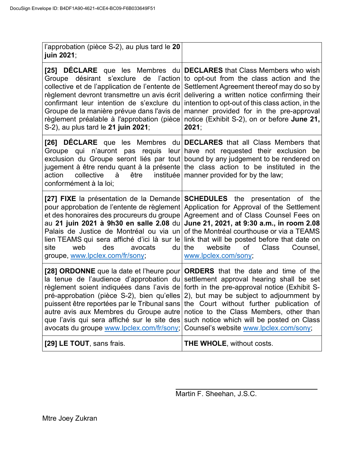| l'approbation (pièce S-2), au plus tard le 20<br>juin 2021;                              |                                                                                                                                                                                                                                                                                                                                                                                                                                                                                                                                                                                                                                                 |
|------------------------------------------------------------------------------------------|-------------------------------------------------------------------------------------------------------------------------------------------------------------------------------------------------------------------------------------------------------------------------------------------------------------------------------------------------------------------------------------------------------------------------------------------------------------------------------------------------------------------------------------------------------------------------------------------------------------------------------------------------|
| [25]<br>S-2), au plus tard le 21 juin 2021;                                              | <b>DÉCLARE</b> que les Membres du <b>DECLARES</b> that Class Members who wish<br>Groupe désirant s'exclure de l'action to opt-out from the class action and the<br>collective et de l'application de l'entente de Settlement Agreement thereof may do so by<br>règlement devront transmettre un avis écrit delivering a written notice confirming their<br>confirmant leur intention de s'exclure du intention to opt-out of this class action, in the<br>Groupe de la manière prévue dans l'avis de manner provided for in the pre-approval<br>règlement préalable à l'approbation (pièce notice (Exhibit S-2), on or before June 21,<br>2021; |
| action<br>être<br>collective<br>à<br>conformément à la loi;                              | [26] DECLARE que les Membres du DECLARES that all Class Members that<br>Groupe qui n'auront pas requis leur have not requested their exclusion be<br>exclusion du Groupe seront liés par tout bound by any judgement to be rendered on<br>jugement à être rendu quant à la présente the class action to be instituted in the<br>instituée   manner provided for by the law;                                                                                                                                                                                                                                                                     |
| site<br>web<br>des<br>avocats<br>groupe, www.lpclex.com/fr/sony;                         | [27] FIXE la présentation de la Demande   SCHEDULES the presentation of the<br>pour approbation de l'entente de règlement Application for Approval of the Settlement<br>et des honoraires des procureurs du groupe Agreement and of Class Counsel Fees on<br>au 21 juin 2021 à 9h30 en salle 2.08 du June 21, 2021, at 9:30 a.m., in room 2.08<br>Palais de Justice de Montréal ou via un of the Montréal courthouse or via a TEAMS<br>lien TEAMS qui sera affiché d'ici là sur le link that will be posted before that date on<br>$du$ the<br>website<br>of<br><b>Class</b><br>Counsel,<br>www.lpclex.com/sony;                                |
| que l'avis qui sera affiché sur le site des<br>avocats du groupe www.lpclex.com/fr/sony; | [28] ORDONNE que la date et l'heure pour   ORDERS that the date and time of the<br>la tenue de l'audience d'approbation du settlement approval hearing shall be set<br>règlement soient indiquées dans l'avis de forth in the pre-approval notice (Exhibit S-<br>pré-approbation (pièce S-2), bien qu'elles 2), but may be subject to adjournment by<br>puissent être reportées par le Tribunal sans the Court without further publication of<br>autre avis aux Membres du Groupe autre notice to the Class Members, other than<br>such notice which will be posted on Class<br>Counsel's website www.lpclex.com/sony;                          |
| [29] LE TOUT, sans frais.                                                                | THE WHOLE, without costs.                                                                                                                                                                                                                                                                                                                                                                                                                                                                                                                                                                                                                       |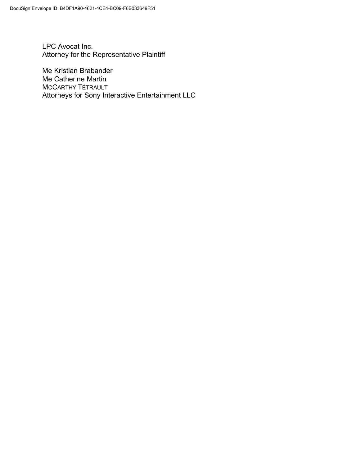LPC Avocat Inc. Attorney for the Representative Plaintiff

Me Kristian Brabander Me Catherine Martin MCCARTHY TÉTRAULT Attorneys for Sony Interactive Entertainment LLC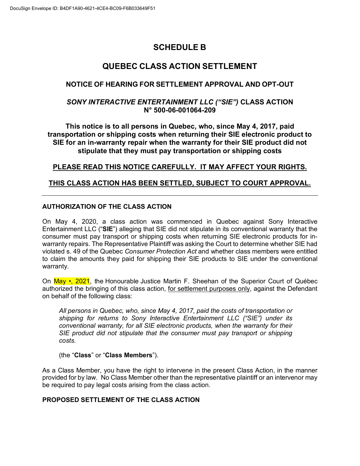# **SCHEDULE B**

### **QUEBEC CLASS ACTION SETTLEMENT**

#### **NOTICE OF HEARING FOR SETTLEMENT APPROVAL AND OPT-OUT**

#### *SONY INTERACTIVE ENTERTAINMENT LLC ("SIE")* **CLASS ACTION N° 500-06-001064-209**

**This notice is to all persons in Quebec, who, since May 4, 2017, paid transportation or shipping costs when returning their SIE electronic product to SIE for an in-warranty repair when the warranty for their SIE product did not stipulate that they must pay transportation or shipping costs**

#### **PLEASE READ THIS NOTICE CAREFULLY. IT MAY AFFECT YOUR RIGHTS.**

#### **THIS CLASS ACTION HAS BEEN SETTLED, SUBJECT TO COURT APPROVAL.**

#### **AUTHORIZATION OF THE CLASS ACTION**

On May 4, 2020, a class action was commenced in Quebec against Sony Interactive Entertainment LLC ("**SIE**") alleging that SIE did not stipulate in its conventional warranty that the consumer must pay transport or shipping costs when returning SIE electronic products for inwarranty repairs. The Representative Plaintiff was asking the Court to determine whether SIE had violated s. 49 of the Quebec *Consumer Protection Act* and whether class members were entitled to claim the amounts they paid for shipping their SIE products to SIE under the conventional warranty.

On May •, 2021, the Honourable Justice Martin F. Sheehan of the Superior Court of Québec authorized the bringing of this class action, for settlement purposes only, against the Defendant on behalf of the following class:

*All persons in Quebec, who, since May 4, 2017, paid the costs of transportation or shipping for returns to Sony Interactive Entertainment LLC ("SIE") under its conventional warranty, for all SIE electronic products, when the warranty for their SIE product did not stipulate that the consumer must pay transport or shipping costs.*

#### (the "**Class**" or "**Class Members**").

As a Class Member, you have the right to intervene in the present Class Action, in the manner provided for by law. No Class Member other than the representative plaintiff or an intervenor may be required to pay legal costs arising from the class action.

#### **PROPOSED SETTLEMENT OF THE CLASS ACTION**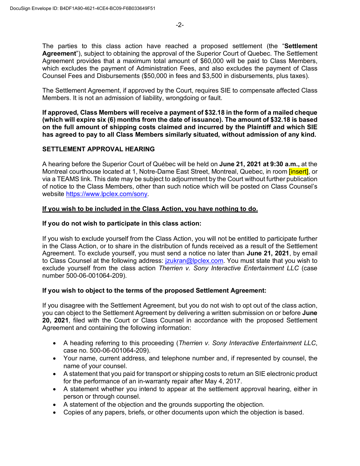The parties to this class action have reached a proposed settlement (the "**Settlement Agreement**"), subject to obtaining the approval of the Superior Court of Quebec. The Settlement Agreement provides that a maximum total amount of \$60,000 will be paid to Class Members, which excludes the payment of Administration Fees, and also excludes the payment of Class Counsel Fees and Disbursements (\$50,000 in fees and \$3,500 in disbursements, plus taxes).

The Settlement Agreement, if approved by the Court, requires SIE to compensate affected Class Members. It is not an admission of liability, wrongdoing or fault.

**If approved, Class Members will receive a payment of \$32.18 in the form of a mailed cheque (which will expire six (6) months from the date of issuance). The amount of \$32.18 is based on the full amount of shipping costs claimed and incurred by the Plaintiff and which SIE has agreed to pay to all Class Members similarly situated, without admission of any kind.**

#### **SETTLEMENT APPROVAL HEARING**

A hearing before the Superior Court of Québec will be held on **June 21, 2021 at 9:30 a.m.,** at the Montreal courthouse located at 1, Notre-Dame East Street, Montreal, Quebec, in room [insert], or via a TEAMS link. This date may be subject to adjournment by the Court without further publication of notice to the Class Members, other than such notice which will be posted on Class Counsel's website https://www.lpclex.com/sony.

#### **If you wish to be included in the Class Action, you have nothing to do.**

#### **If you do not wish to participate in this class action:**

If you wish to exclude yourself from the Class Action, you will not be entitled to participate further in the Class Action, or to share in the distribution of funds received as a result of the Settlement Agreement. To exclude yourself, you must send a notice no later than **June 21, 2021**, by email to Class Counsel at the following address: *jzukran@lpclex.com.* You must state that you wish to exclude yourself from the class action *Therrien v. Sony Interactive Entertainment LLC* (case number 500-06-001064-209).

#### **If you wish to object to the terms of the proposed Settlement Agreement:**

If you disagree with the Settlement Agreement, but you do not wish to opt out of the class action, you can object to the Settlement Agreement by delivering a written submission on or before **June 20, 2021**, filed with the Court or Class Counsel in accordance with the proposed Settlement Agreement and containing the following information:

- A heading referring to this proceeding (*Therrien v. Sony Interactive Entertainment LLC*, case no. 500-06-001064-209).
- Your name, current address, and telephone number and, if represented by counsel, the name of your counsel.
- A statement that you paid for transport or shipping costs to return an SIE electronic product for the performance of an in-warranty repair after May 4, 2017.
- A statement whether you intend to appear at the settlement approval hearing, either in person or through counsel.
- A statement of the objection and the grounds supporting the objection.
- Copies of any papers, briefs, or other documents upon which the objection is based.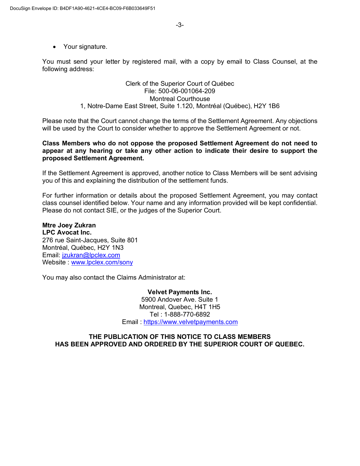• Your signature.

You must send your letter by registered mail, with a copy by email to Class Counsel, at the following address:

#### Clerk of the Superior Court of Québec File: 500-06-001064-209 Montreal Courthouse 1, Notre-Dame East Street, Suite 1.120, Montréal (Québec), H2Y 1B6

Please note that the Court cannot change the terms of the Settlement Agreement. Any objections will be used by the Court to consider whether to approve the Settlement Agreement or not.

#### **Class Members who do not oppose the proposed Settlement Agreement do not need to appear at any hearing or take any other action to indicate their desire to support the proposed Settlement Agreement.**

If the Settlement Agreement is approved, another notice to Class Members will be sent advising you of this and explaining the distribution of the settlement funds.

For further information or details about the proposed Settlement Agreement, you may contact class counsel identified below. Your name and any information provided will be kept confidential. Please do not contact SIE, or the judges of the Superior Court.

**Mtre Joey Zukran LPC Avocat Inc.**  276 rue Saint-Jacques, Suite 801 Montréal, Québec, H2Y 1N3 Email: jzukran@lpclex.com Website : www.lpclex.com/sony

You may also contact the Claims Administrator at:

**Velvet Payments Inc.** 5900 Andover Ave. Suite 1 Montreal, Quebec, H4T 1H5 Tel : 1-888-770-6892 Email : https://www.velvetpayments.com

#### **THE PUBLICATION OF THIS NOTICE TO CLASS MEMBERS HAS BEEN APPROVED AND ORDERED BY THE SUPERIOR COURT OF QUEBEC.**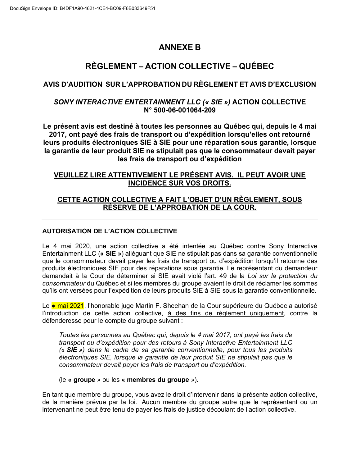# **ANNEXE B**

# **RÈGLEMENT – ACTION COLLECTIVE – QUÉBEC**

#### **AVIS D'AUDITION SUR L'APPROBATION DU RÈGLEMENT ET AVIS D'EXCLUSION**

#### *SONY INTERACTIVE ENTERTAINMENT LLC (« SIE »)* **ACTION COLLECTIVE N° 500-06-001064-209**

**Le présent avis est destiné à toutes les personnes au Québec qui, depuis le 4 mai 2017, ont payé des frais de transport ou d'expédition lorsqu'elles ont retourné leurs produits électroniques SIE à SIE pour une réparation sous garantie, lorsque la garantie de leur produit SIE ne stipulait pas que le consommateur devait payer les frais de transport ou d'expédition**

#### **VEUILLEZ LIRE ATTENTIVEMENT LE PRÉSENT AVIS. IL PEUT AVOIR UNE INCIDENCE SUR VOS DROITS.**

### **CETTE ACTION COLLECTIVE A FAIT L'OBJET D'UN RÈGLEMENT, SOUS RÉSERVE DE L'APPROBATION DE LA COUR.**

#### **AUTORISATION DE L'ACTION COLLECTIVE**

Le 4 mai 2020, une action collective a été intentée au Québec contre Sony Interactive Entertainment LLC (**« SIE »**) alléguant que SIE ne stipulait pas dans sa garantie conventionnelle que le consommateur devait payer les frais de transport ou d'expédition lorsqu'il retourne des produits électroniques SIE pour des réparations sous garantie. Le représentant du demandeur demandait à la Cour de déterminer si SIE avait violé l'art. 49 de la *Loi sur la protection du consommateur* du Québec et si les membres du groupe avaient le droit de réclamer les sommes qu'ils ont versées pour l'expédition de leurs produits SIE à SIE sous la garantie conventionnelle.

Le • mai 2021, l'honorable juge Martin F. Sheehan de la Cour supérieure du Québec a autorisé l'introduction de cette action collective, à des fins de règlement uniquement, contre la défenderesse pour le compte du groupe suivant :

*Toutes les personnes au Québec qui, depuis le 4 mai 2017, ont payé les frais de transport ou d'expédition pour des retours à Sony Interactive Entertainment LLC (« SIE ») dans le cadre de sa garantie conventionnelle, pour tous les produits électroniques SIE, lorsque la garantie de leur produit SIE ne stipulait pas que le consommateur devait payer les frais de transport ou d'expédition.* 

#### (le **« groupe** » ou les **« membres du groupe** »).

En tant que membre du groupe, vous avez le droit d'intervenir dans la présente action collective, de la manière prévue par la loi. Aucun membre du groupe autre que le représentant ou un intervenant ne peut être tenu de payer les frais de justice découlant de l'action collective.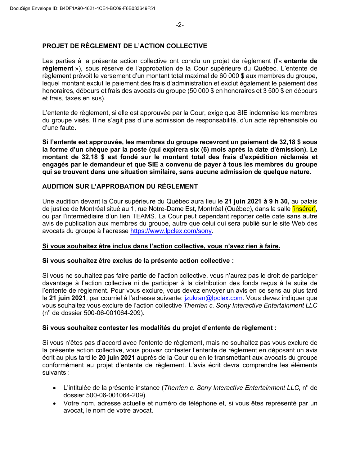#### **PROJET DE RÈGLEMENT DE L'ACTION COLLECTIVE**

Les parties à la présente action collective ont conclu un projet de règlement (l'« **entente de règlement** »), sous réserve de l'approbation de la Cour supérieure du Québec. L'entente de règlement prévoit le versement d'un montant total maximal de 60 000 \$ aux membres du groupe, lequel montant exclut le paiement des frais d'administration et exclut également le paiement des honoraires, débours et frais des avocats du groupe (50 000 \$ en honoraires et 3 500 \$ en débours et frais, taxes en sus).

L'entente de règlement, si elle est approuvée par la Cour, exige que SIE indemnise les membres du groupe visés. Il ne s'agit pas d'une admission de responsabilité, d'un acte répréhensible ou d'une faute.

**Si l'entente est approuvée, les membres du groupe recevront un paiement de 32,18 \$ sous la forme d'un chèque par la poste (qui expirera six (6) mois après la date d'émission). Le montant de 32,18 \$ est fondé sur le montant total des frais d'expédition réclamés et engagés par le demandeur et que SIE a convenu de payer à tous les membres du groupe qui se trouvent dans une situation similaire, sans aucune admission de quelque nature.**

#### **AUDITION SUR L'APPROBATION DU RÈGLEMENT**

Une audition devant la Cour supérieure du Québec aura lieu le **21 juin 2021 à 9 h 30,** au palais de justice de Montréal situé au 1, rue Notre-Dame Est, Montréal (Québec), dans la salle *[insérer]*, ou par l'intermédiaire d'un lien TEAMS. La Cour peut cependant reporter cette date sans autre avis de publication aux membres du groupe, autre que celui qui sera publié sur le site Web des avocats du groupe à l'adresse https://www.lpclex.com/sony.

#### **Si vous souhaitez être inclus dans l'action collective, vous n'avez rien à faire.**

#### **Si vous souhaitez être exclus de la présente action collective :**

Si vous ne souhaitez pas faire partie de l'action collective, vous n'aurez pas le droit de participer davantage à l'action collective ni de participer à la distribution des fonds reçus à la suite de l'entente de règlement. Pour vous exclure, vous devez envoyer un avis en ce sens au plus tard le **21 juin 2021**, par courriel à l'adresse suivante: jzukran@lpclex.com. Vous devez indiquer que vous souhaitez vous exclure de l'action collective *Therrien c. Sony Interactive Entertainment LLC* (n<sup>o</sup> de dossier 500-06-001064-209).

#### **Si vous souhaitez contester les modalités du projet d'entente de règlement :**

Si vous n'êtes pas d'accord avec l'entente de règlement, mais ne souhaitez pas vous exclure de la présente action collective, vous pouvez contester l'entente de règlement en déposant un avis écrit au plus tard le **20 juin 2021** auprès de la Cour ou en le transmettant aux avocats du groupe conformément au projet d'entente de règlement. L'avis écrit devra comprendre les éléments suivants :

- L'intitulée de la présente instance (*Therrien c. Sony Interactive Entertainment LLC*, n<sup>o</sup> de dossier 500-06-001064-209).
- Votre nom, adresse actuelle et numéro de téléphone et, si vous êtes représenté par un avocat, le nom de votre avocat.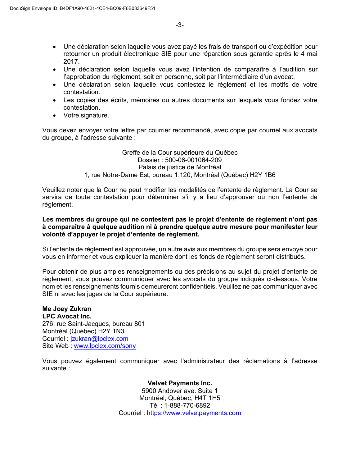- Une déclaration selon laquelle vous avez payé les frais de transport ou d'expédition pour retourner un produit électronique SIE pour une réparation sous garantie après le 4 mai 2017.
- Une déclaration selon laquelle vous avez l'intention de comparaître à l'audition sur l'approbation du règlement, soit en personne, soit par l'intermédiaire d'un avocat.
- Une déclaration selon laquelle vous contestez le règlement et les motifs de votre contestation.
- Les copies des écrits, mémoires ou autres documents sur lesquels vous fondez votre contestation.
- Votre signature.

Vous devez envoyer votre lettre par courrier recommandé, avec copie par courriel aux avocats du groupe, à l'adresse suivante :

> Greffe de la Cour supérieure du Québec Dossier : 500-06-001064-209 Palais de justice de Montréal 1, rue Notre-Dame Est, bureau 1.120, Montréal (Québec) H2Y 1B6

Veuillez noter que la Cour ne peut modifier les modalités de l'entente de règlement. La Cour se servira de toute contestation pour déterminer s'il y a lieu d'approuver ou non l'entente de règlement.

#### **Les membres du groupe qui ne contestent pas le projet d'entente de règlement n'ont pas à comparaître à quelque audition ni à prendre quelque autre mesure pour manifester leur volonté d'appuyer le projet d'entente de règlement.**

Si l'entente de règlement est approuvée, un autre avis aux membres du groupe sera envoyé pour vous en informer et vous expliquer la manière dont les fonds de règlement seront distribués.

Pour obtenir de plus amples renseignements ou des précisions au sujet du projet d'entente de règlement, vous pouvez communiquer avec les avocats du groupe indiqués ci-dessous. Votre nom et les renseignements fournis demeureront confidentiels. Veuillez ne pas communiquer avec SIE ni avec les juges de la Cour supérieure.

#### **Me Joey Zukran LPC Avocat Inc.**

276, rue Saint-Jacques, bureau 801 Montréal (Québec) H2Y 1N3 Courriel : jzukran@lpclex.com Site Web : www.lpclex.com/sony

Vous pouvez également communiquer avec l'administrateur des réclamations à l'adresse suivante :

> **Velvet Payments Inc.** 5900 Andover ave. Suite 1 Montréal, Québec, H4T 1H5 Tél : 1-888-770-6892 Courriel : https://www.velvetpayments.com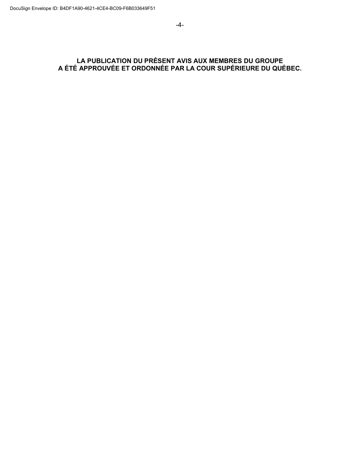#### **LA PUBLICATION DU PRÉSENT AVIS AUX MEMBRES DU GROUPE A ÉTÉ APPROUVÉE ET ORDONNÉE PAR LA COUR SUPÉRIEURE DU QUÉBEC.**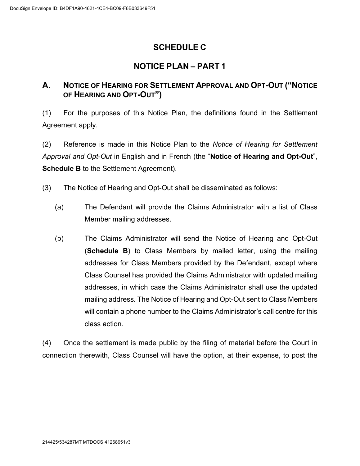# **SCHEDULE C**

# **NOTICE PLAN – PART 1**

## **A. NOTICE OF HEARING FOR SETTLEMENT APPROVAL AND OPT-OUT ("NOTICE OF HEARING AND OPT-OUT")**

(1) For the purposes of this Notice Plan, the definitions found in the Settlement Agreement apply.

(2) Reference is made in this Notice Plan to the *Notice of Hearing for Settlement Approval and Opt-Out* in English and in French (the "**Notice of Hearing and Opt-Out**", **Schedule B** to the Settlement Agreement).

(3) The Notice of Hearing and Opt-Out shall be disseminated as follows:

- (a) The Defendant will provide the Claims Administrator with a list of Class Member mailing addresses.
- (b) The Claims Administrator will send the Notice of Hearing and Opt-Out (**Schedule B**) to Class Members by mailed letter, using the mailing addresses for Class Members provided by the Defendant, except where Class Counsel has provided the Claims Administrator with updated mailing addresses, in which case the Claims Administrator shall use the updated mailing address. The Notice of Hearing and Opt-Out sent to Class Members will contain a phone number to the Claims Administrator's call centre for this class action.

(4) Once the settlement is made public by the filing of material before the Court in connection therewith, Class Counsel will have the option, at their expense, to post the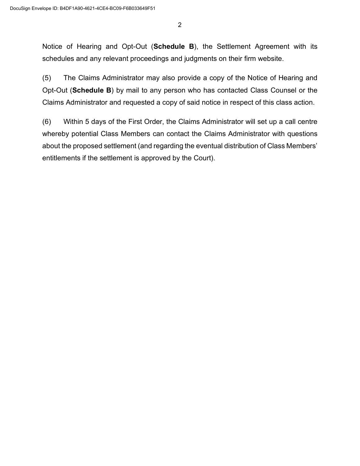2

Notice of Hearing and Opt-Out (**Schedule B**), the Settlement Agreement with its schedules and any relevant proceedings and judgments on their firm website.

(5) The Claims Administrator may also provide a copy of the Notice of Hearing and Opt-Out (**Schedule B**) by mail to any person who has contacted Class Counsel or the Claims Administrator and requested a copy of said notice in respect of this class action.

(6) Within 5 days of the First Order, the Claims Administrator will set up a call centre whereby potential Class Members can contact the Claims Administrator with questions about the proposed settlement (and regarding the eventual distribution of Class Members' entitlements if the settlement is approved by the Court).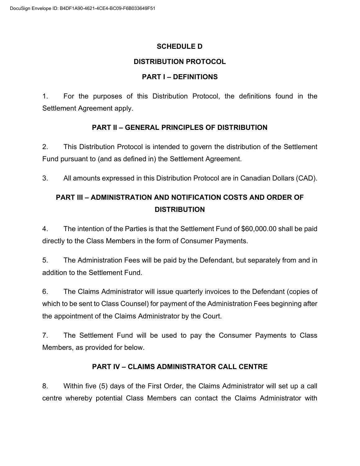#### **SCHEDULE D**

### **DISTRIBUTION PROTOCOL**

### **PART I – DEFINITIONS**

1. For the purposes of this Distribution Protocol, the definitions found in the Settlement Agreement apply.

### **PART II – GENERAL PRINCIPLES OF DISTRIBUTION**

2. This Distribution Protocol is intended to govern the distribution of the Settlement Fund pursuant to (and as defined in) the Settlement Agreement.

3. All amounts expressed in this Distribution Protocol are in Canadian Dollars (CAD).

# **PART III – ADMINISTRATION AND NOTIFICATION COSTS AND ORDER OF DISTRIBUTION**

4. The intention of the Parties is that the Settlement Fund of \$60,000.00 shall be paid directly to the Class Members in the form of Consumer Payments.

5. The Administration Fees will be paid by the Defendant, but separately from and in addition to the Settlement Fund.

6. The Claims Administrator will issue quarterly invoices to the Defendant (copies of which to be sent to Class Counsel) for payment of the Administration Fees beginning after the appointment of the Claims Administrator by the Court.

7. The Settlement Fund will be used to pay the Consumer Payments to Class Members, as provided for below.

### **PART IV – CLAIMS ADMINISTRATOR CALL CENTRE**

8. Within five (5) days of the First Order, the Claims Administrator will set up a call centre whereby potential Class Members can contact the Claims Administrator with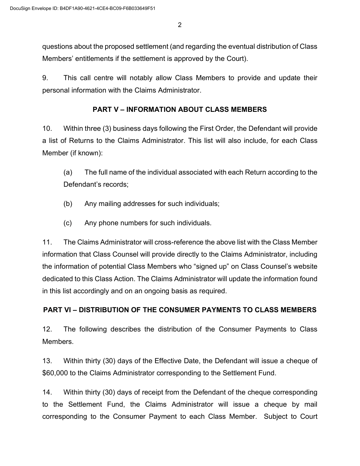2

questions about the proposed settlement (and regarding the eventual distribution of Class Members' entitlements if the settlement is approved by the Court).

9. This call centre will notably allow Class Members to provide and update their personal information with the Claims Administrator.

#### **PART V – INFORMATION ABOUT CLASS MEMBERS**

10. Within three (3) business days following the First Order, the Defendant will provide a list of Returns to the Claims Administrator. This list will also include, for each Class Member (if known):

(a) The full name of the individual associated with each Return according to the Defendant's records;

- (b) Any mailing addresses for such individuals;
- (c) Any phone numbers for such individuals.

11. The Claims Administrator will cross-reference the above list with the Class Member information that Class Counsel will provide directly to the Claims Administrator, including the information of potential Class Members who "signed up" on Class Counsel's website dedicated to this Class Action. The Claims Administrator will update the information found in this list accordingly and on an ongoing basis as required.

### **PART VI – DISTRIBUTION OF THE CONSUMER PAYMENTS TO CLASS MEMBERS**

12. The following describes the distribution of the Consumer Payments to Class Members.

13. Within thirty (30) days of the Effective Date, the Defendant will issue a cheque of \$60,000 to the Claims Administrator corresponding to the Settlement Fund.

14. Within thirty (30) days of receipt from the Defendant of the cheque corresponding to the Settlement Fund, the Claims Administrator will issue a cheque by mail corresponding to the Consumer Payment to each Class Member. Subject to Court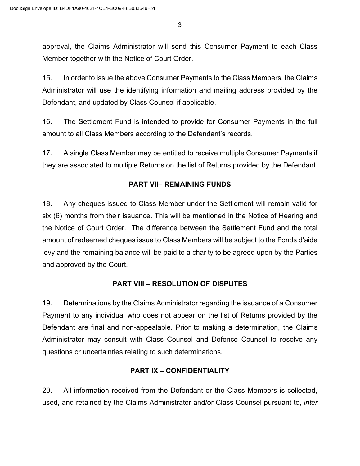3

approval, the Claims Administrator will send this Consumer Payment to each Class Member together with the Notice of Court Order.

15. In order to issue the above Consumer Payments to the Class Members, the Claims Administrator will use the identifying information and mailing address provided by the Defendant, and updated by Class Counsel if applicable.

16. The Settlement Fund is intended to provide for Consumer Payments in the full amount to all Class Members according to the Defendant's records.

17. A single Class Member may be entitled to receive multiple Consumer Payments if they are associated to multiple Returns on the list of Returns provided by the Defendant.

### **PART VII– REMAINING FUNDS**

18. Any cheques issued to Class Member under the Settlement will remain valid for six (6) months from their issuance. This will be mentioned in the Notice of Hearing and the Notice of Court Order. The difference between the Settlement Fund and the total amount of redeemed cheques issue to Class Members will be subject to the Fonds d'aide levy and the remaining balance will be paid to a charity to be agreed upon by the Parties and approved by the Court.

### **PART VIII – RESOLUTION OF DISPUTES**

19. Determinations by the Claims Administrator regarding the issuance of a Consumer Payment to any individual who does not appear on the list of Returns provided by the Defendant are final and non-appealable. Prior to making a determination, the Claims Administrator may consult with Class Counsel and Defence Counsel to resolve any questions or uncertainties relating to such determinations.

### **PART IX – CONFIDENTIALITY**

20. All information received from the Defendant or the Class Members is collected, used, and retained by the Claims Administrator and/or Class Counsel pursuant to, *inter*